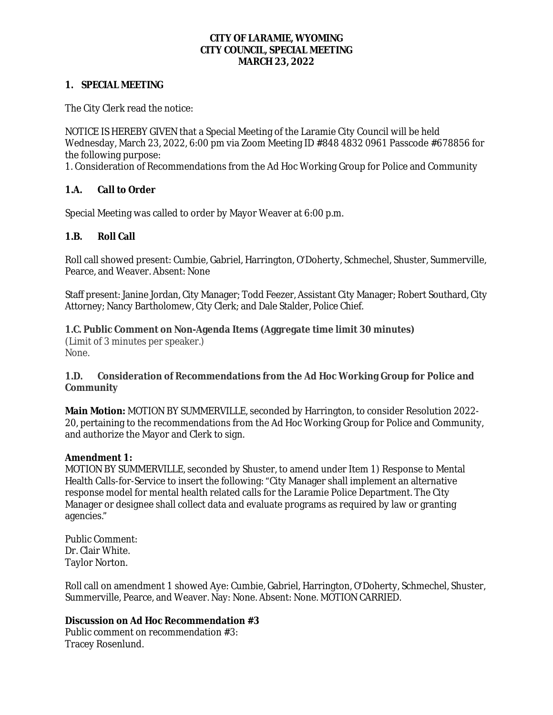### **1. SPECIAL MEETING**

The City Clerk read the notice:

NOTICE IS HEREBY GIVEN that a Special Meeting of the Laramie City Council will be held Wednesday, March 23, 2022, 6:00 pm via Zoom Meeting ID #848 4832 0961 Passcode #678856 for the following purpose:

1. Consideration of Recommendations from the Ad Hoc Working Group for Police and Community

# **1.A. Call to Order**

Special Meeting was called to order by Mayor Weaver at 6:00 p.m.

# **1.B. Roll Call**

Roll call showed present: Cumbie, Gabriel, Harrington, O'Doherty, Schmechel, Shuster, Summerville, Pearce, and Weaver. Absent: None

Staff present: Janine Jordan, City Manager; Todd Feezer, Assistant City Manager; Robert Southard, City Attorney; Nancy Bartholomew, City Clerk; and Dale Stalder, Police Chief.

# **1.C. Public Comment on Non-Agenda Items (Aggregate time limit 30 minutes)**

(Limit of 3 minutes per speaker.) None.

### **1.D. Consideration of Recommendations from the Ad Hoc Working Group for Police and Community**

**Main Motion:** MOTION BY SUMMERVILLE, seconded by Harrington, to consider Resolution 2022- 20, pertaining to the recommendations from the Ad Hoc Working Group for Police and Community, and authorize the Mayor and Clerk to sign.

#### **Amendment 1:**

MOTION BY SUMMERVILLE, seconded by Shuster, to amend under Item 1) Response to Mental Health Calls-for-Service to insert the following: "City Manager shall implement an alternative response model for mental health related calls for the Laramie Police Department. The City Manager or designee shall collect data and evaluate programs as required by law or granting agencies."

Public Comment: Dr. Clair White. Taylor Norton.

Roll call on amendment 1 showed Aye: Cumbie, Gabriel, Harrington, O'Doherty, Schmechel, Shuster, Summerville, Pearce, and Weaver. Nay: None. Absent: None. MOTION CARRIED.

# **Discussion on Ad Hoc Recommendation #3**

Public comment on recommendation #3: Tracey Rosenlund.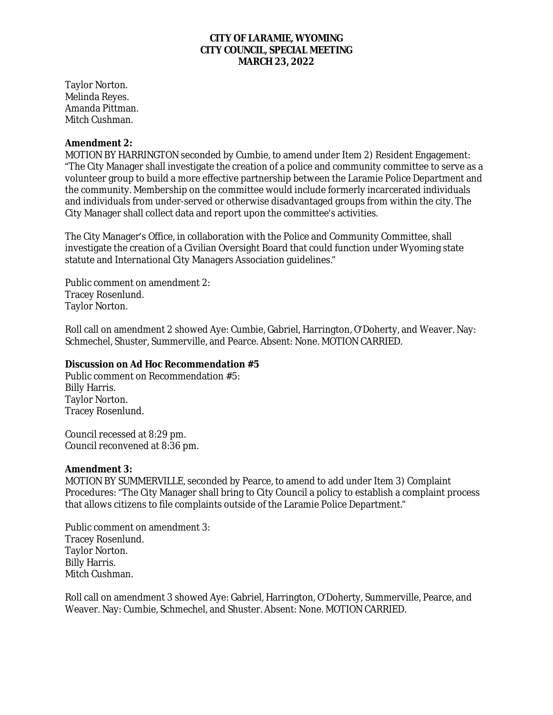Taylor Norton. Melinda Reyes. Amanda Pittman. Mitch Cushman.

### **Amendment 2:**

MOTION BY HARRINGTON seconded by Cumbie, to amend under Item 2) Resident Engagement: "The City Manager shall investigate the creation of a police and community committee to serve as a volunteer group to build a more effective partnership between the Laramie Police Department and the community. Membership on the committee would include formerly incarcerated individuals and individuals from under-served or otherwise disadvantaged groups from within the city. The City Manager shall collect data and report upon the committee's activities.

The City Manager's Office, in collaboration with the Police and Community Committee, shall investigate the creation of a Civilian Oversight Board that could function under Wyoming state statute and International City Managers Association guidelines."

Public comment on amendment 2: Tracey Rosenlund. Taylor Norton.

Roll call on amendment 2 showed Aye: Cumbie, Gabriel, Harrington, O'Doherty, and Weaver. Nay: Schmechel, Shuster, Summerville, and Pearce. Absent: None. MOTION CARRIED.

# **Discussion on Ad Hoc Recommendation #5**

Public comment on Recommendation #5: Billy Harris. Taylor Norton. Tracey Rosenlund.

Council recessed at 8:29 pm. Council reconvened at 8:36 pm.

#### **Amendment 3:**

MOTION BY SUMMERVILLE, seconded by Pearce, to amend to add under Item 3) Complaint Procedures: "The City Manager shall bring to City Council a policy to establish a complaint process that allows citizens to file complaints outside of the Laramie Police Department."

Public comment on amendment 3: Tracey Rosenlund. Taylor Norton. Billy Harris. Mitch Cushman.

Roll call on amendment 3 showed Aye: Gabriel, Harrington, O'Doherty, Summerville, Pearce, and Weaver. Nay: Cumbie, Schmechel, and Shuster. Absent: None. MOTION CARRIED.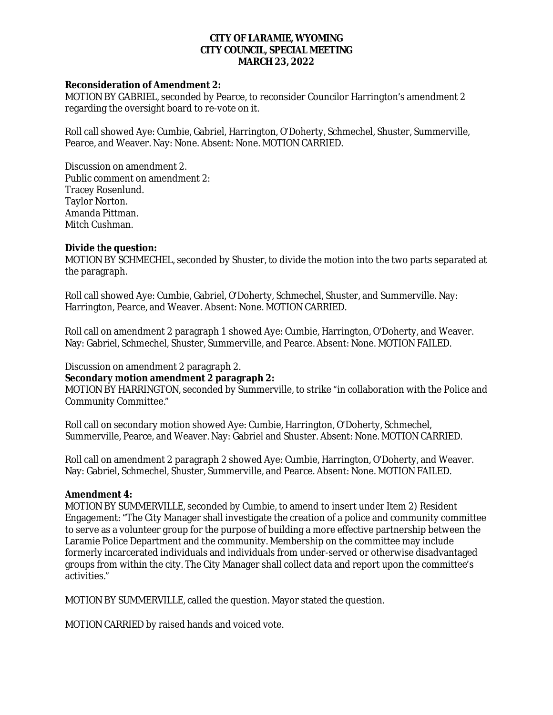### **Reconsideration of Amendment 2:**

MOTION BY GABRIEL, seconded by Pearce, to reconsider Councilor Harrington's amendment 2 regarding the oversight board to re-vote on it.

Roll call showed Aye: Cumbie, Gabriel, Harrington, O'Doherty, Schmechel, Shuster, Summerville, Pearce, and Weaver. Nay: None. Absent: None. MOTION CARRIED.

Discussion on amendment 2. Public comment on amendment 2: Tracey Rosenlund. Taylor Norton. Amanda Pittman. Mitch Cushman.

### **Divide the question:**

MOTION BY SCHMECHEL, seconded by Shuster, to divide the motion into the two parts separated at the paragraph.

Roll call showed Aye: Cumbie, Gabriel, O'Doherty, Schmechel, Shuster, and Summerville. Nay: Harrington, Pearce, and Weaver. Absent: None. MOTION CARRIED.

Roll call on amendment 2 paragraph 1 showed Aye: Cumbie, Harrington, O'Doherty, and Weaver. Nay: Gabriel, Schmechel, Shuster, Summerville, and Pearce. Absent: None. MOTION FAILED.

Discussion on amendment 2 paragraph 2.

#### **Secondary motion amendment 2 paragraph 2:**

MOTION BY HARRINGTON, seconded by Summerville, to strike "in collaboration with the Police and Community Committee."

Roll call on secondary motion showed Aye: Cumbie, Harrington, O'Doherty, Schmechel, Summerville, Pearce, and Weaver. Nay: Gabriel and Shuster. Absent: None. MOTION CARRIED.

Roll call on amendment 2 paragraph 2 showed Aye: Cumbie, Harrington, O'Doherty, and Weaver. Nay: Gabriel, Schmechel, Shuster, Summerville, and Pearce. Absent: None. MOTION FAILED.

#### **Amendment 4:**

MOTION BY SUMMERVILLE, seconded by Cumbie, to amend to insert under Item 2) Resident Engagement: "The City Manager shall investigate the creation of a police and community committee to serve as a volunteer group for the purpose of building a more effective partnership between the Laramie Police Department and the community. Membership on the committee may include formerly incarcerated individuals and individuals from under-served or otherwise disadvantaged groups from within the city. The City Manager shall collect data and report upon the committee's activities."

MOTION BY SUMMERVILLE, called the question. Mayor stated the question.

MOTION CARRIED by raised hands and voiced vote.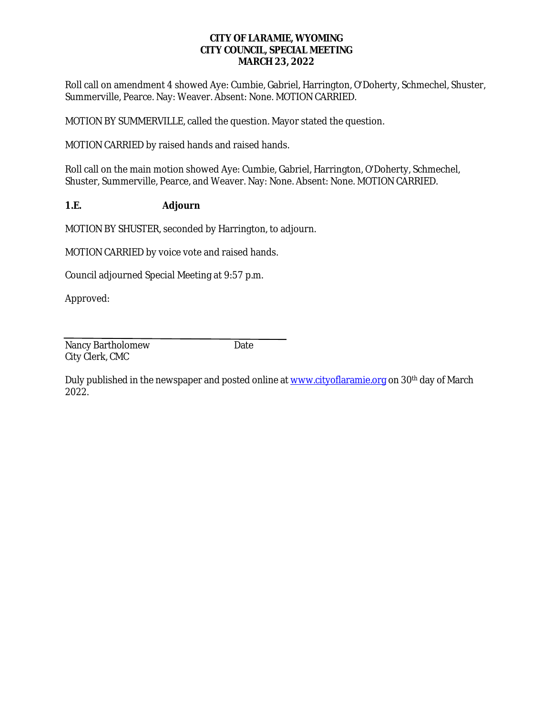Roll call on amendment 4 showed Aye: Cumbie, Gabriel, Harrington, O'Doherty, Schmechel, Shuster, Summerville, Pearce. Nay: Weaver. Absent: None. MOTION CARRIED.

MOTION BY SUMMERVILLE, called the question. Mayor stated the question.

MOTION CARRIED by raised hands and raised hands.

Roll call on the main motion showed Aye: Cumbie, Gabriel, Harrington, O'Doherty, Schmechel, Shuster, Summerville, Pearce, and Weaver. Nay: None. Absent: None. MOTION CARRIED.

# **1.E. Adjourn**

MOTION BY SHUSTER, seconded by Harrington, to adjourn.

MOTION CARRIED by voice vote and raised hands.

Council adjourned Special Meeting at 9:57 p.m.

Approved:

Nancy Bartholomew Date City Clerk, CMC

Duly published in the newspaper and posted online at [www.cityoflaramie.org](http://www.cityoflaramie.org) on 30<sup>th</sup> day of March 2022.